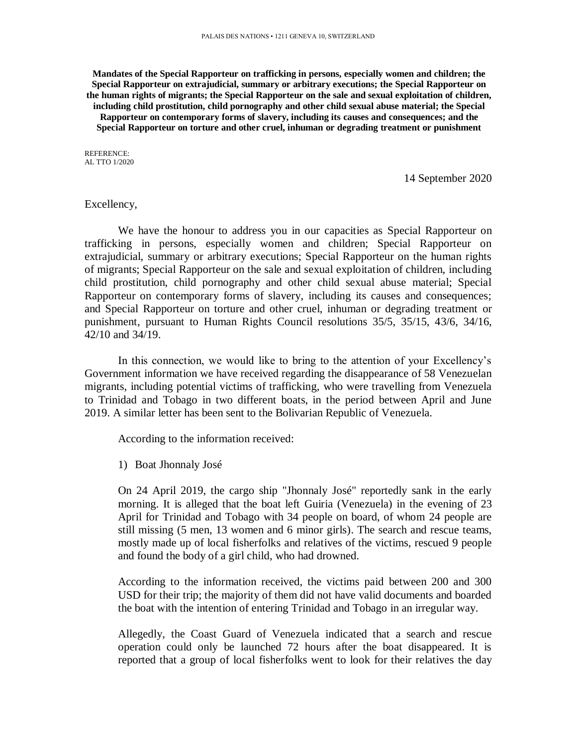**Mandates of the Special Rapporteur on trafficking in persons, especially women and children; the Special Rapporteur on extrajudicial, summary or arbitrary executions; the Special Rapporteur on the human rights of migrants; the Special Rapporteur on the sale and sexual exploitation of children, including child prostitution, child pornography and other child sexual abuse material; the Special Rapporteur on contemporary forms of slavery, including its causes and consequences; and the Special Rapporteur on torture and other cruel, inhuman or degrading treatment or punishment**

REFERENCE: AL TTO 1/2020

14 September 2020

## Excellency,

We have the honour to address you in our capacities as Special Rapporteur on trafficking in persons, especially women and children; Special Rapporteur on extrajudicial, summary or arbitrary executions; Special Rapporteur on the human rights of migrants; Special Rapporteur on the sale and sexual exploitation of children, including child prostitution, child pornography and other child sexual abuse material; Special Rapporteur on contemporary forms of slavery, including its causes and consequences; and Special Rapporteur on torture and other cruel, inhuman or degrading treatment or punishment, pursuant to Human Rights Council resolutions 35/5, 35/15, 43/6, 34/16, 42/10 and 34/19.

In this connection, we would like to bring to the attention of your Excellency's Government information we have received regarding the disappearance of 58 Venezuelan migrants, including potential victims of trafficking, who were travelling from Venezuela to Trinidad and Tobago in two different boats, in the period between April and June 2019. A similar letter has been sent to the Bolivarian Republic of Venezuela.

According to the information received:

1) Boat Jhonnaly José

On 24 April 2019, the cargo ship "Jhonnaly José" reportedly sank in the early morning. It is alleged that the boat left Guiria (Venezuela) in the evening of 23 April for Trinidad and Tobago with 34 people on board, of whom 24 people are still missing (5 men, 13 women and 6 minor girls). The search and rescue teams, mostly made up of local fisherfolks and relatives of the victims, rescued 9 people and found the body of a girl child, who had drowned.

According to the information received, the victims paid between 200 and 300 USD for their trip; the majority of them did not have valid documents and boarded the boat with the intention of entering Trinidad and Tobago in an irregular way.

Allegedly, the Coast Guard of Venezuela indicated that a search and rescue operation could only be launched 72 hours after the boat disappeared. It is reported that a group of local fisherfolks went to look for their relatives the day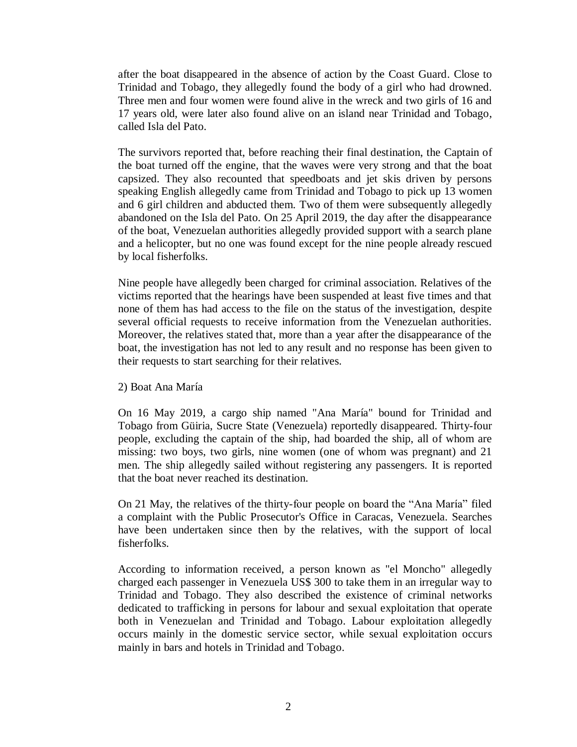after the boat disappeared in the absence of action by the Coast Guard. Close to Trinidad and Tobago, they allegedly found the body of a girl who had drowned. Three men and four women were found alive in the wreck and two girls of 16 and 17 years old, were later also found alive on an island near Trinidad and Tobago, called Isla del Pato.

The survivors reported that, before reaching their final destination, the Captain of the boat turned off the engine, that the waves were very strong and that the boat capsized. They also recounted that speedboats and jet skis driven by persons speaking English allegedly came from Trinidad and Tobago to pick up 13 women and 6 girl children and abducted them. Two of them were subsequently allegedly abandoned on the Isla del Pato. On 25 April 2019, the day after the disappearance of the boat, Venezuelan authorities allegedly provided support with a search plane and a helicopter, but no one was found except for the nine people already rescued by local fisherfolks.

Nine people have allegedly been charged for criminal association. Relatives of the victims reported that the hearings have been suspended at least five times and that none of them has had access to the file on the status of the investigation, despite several official requests to receive information from the Venezuelan authorities. Moreover, the relatives stated that, more than a year after the disappearance of the boat, the investigation has not led to any result and no response has been given to their requests to start searching for their relatives.

## 2) Boat Ana María

On 16 May 2019, a cargo ship named "Ana María" bound for Trinidad and Tobago from Güiria, Sucre State (Venezuela) reportedly disappeared. Thirty-four people, excluding the captain of the ship, had boarded the ship, all of whom are missing: two boys, two girls, nine women (one of whom was pregnant) and 21 men. The ship allegedly sailed without registering any passengers. It is reported that the boat never reached its destination.

On 21 May, the relatives of the thirty-four people on board the "Ana María" filed a complaint with the Public Prosecutor's Office in Caracas, Venezuela. Searches have been undertaken since then by the relatives, with the support of local fisherfolks.

According to information received, a person known as "el Moncho" allegedly charged each passenger in Venezuela US\$ 300 to take them in an irregular way to Trinidad and Tobago. They also described the existence of criminal networks dedicated to trafficking in persons for labour and sexual exploitation that operate both in Venezuelan and Trinidad and Tobago. Labour exploitation allegedly occurs mainly in the domestic service sector, while sexual exploitation occurs mainly in bars and hotels in Trinidad and Tobago.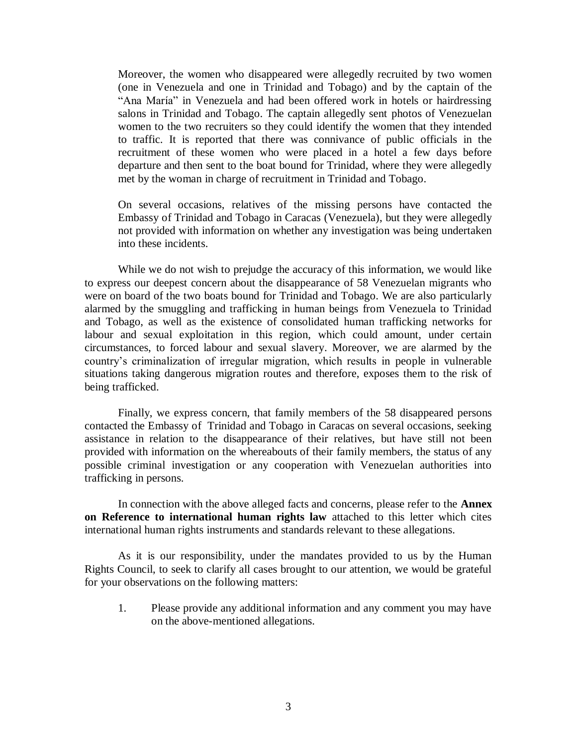Moreover, the women who disappeared were allegedly recruited by two women (one in Venezuela and one in Trinidad and Tobago) and by the captain of the "Ana María" in Venezuela and had been offered work in hotels or hairdressing salons in Trinidad and Tobago. The captain allegedly sent photos of Venezuelan women to the two recruiters so they could identify the women that they intended to traffic. It is reported that there was connivance of public officials in the recruitment of these women who were placed in a hotel a few days before departure and then sent to the boat bound for Trinidad, where they were allegedly met by the woman in charge of recruitment in Trinidad and Tobago.

On several occasions, relatives of the missing persons have contacted the Embassy of Trinidad and Tobago in Caracas (Venezuela), but they were allegedly not provided with information on whether any investigation was being undertaken into these incidents.

While we do not wish to prejudge the accuracy of this information, we would like to express our deepest concern about the disappearance of 58 Venezuelan migrants who were on board of the two boats bound for Trinidad and Tobago. We are also particularly alarmed by the smuggling and trafficking in human beings from Venezuela to Trinidad and Tobago, as well as the existence of consolidated human trafficking networks for labour and sexual exploitation in this region, which could amount, under certain circumstances, to forced labour and sexual slavery. Moreover, we are alarmed by the country's criminalization of irregular migration, which results in people in vulnerable situations taking dangerous migration routes and therefore, exposes them to the risk of being trafficked.

Finally, we express concern, that family members of the 58 disappeared persons contacted the Embassy of Trinidad and Tobago in Caracas on several occasions, seeking assistance in relation to the disappearance of their relatives, but have still not been provided with information on the whereabouts of their family members, the status of any possible criminal investigation or any cooperation with Venezuelan authorities into trafficking in persons.

In connection with the above alleged facts and concerns, please refer to the **Annex on Reference to international human rights law** attached to this letter which cites international human rights instruments and standards relevant to these allegations.

As it is our responsibility, under the mandates provided to us by the Human Rights Council, to seek to clarify all cases brought to our attention, we would be grateful for your observations on the following matters:

1. Please provide any additional information and any comment you may have on the above-mentioned allegations.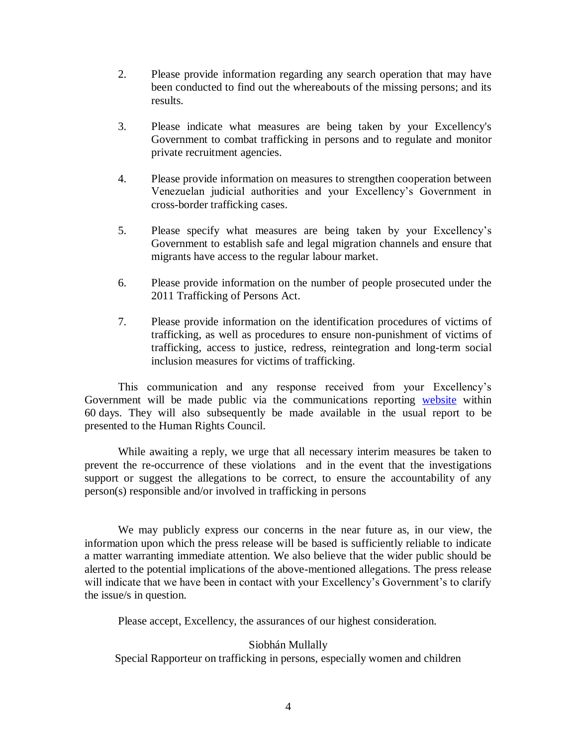- 2. Please provide information regarding any search operation that may have been conducted to find out the whereabouts of the missing persons; and its results.
- 3. Please indicate what measures are being taken by your Excellency's Government to combat trafficking in persons and to regulate and monitor private recruitment agencies.
- 4. Please provide information on measures to strengthen cooperation between Venezuelan judicial authorities and your Excellency's Government in cross-border trafficking cases.
- 5. Please specify what measures are being taken by your Excellency's Government to establish safe and legal migration channels and ensure that migrants have access to the regular labour market.
- 6. Please provide information on the number of people prosecuted under the 2011 Trafficking of Persons Act.
- 7. Please provide information on the identification procedures of victims of trafficking, as well as procedures to ensure non-punishment of victims of trafficking, access to justice, redress, reintegration and long-term social inclusion measures for victims of trafficking.

This communication and any response received from your Excellency's Government will be made public via the communications reporting [website](https://spcommreports.ohchr.org/) within 60 days. They will also subsequently be made available in the usual report to be presented to the Human Rights Council.

While awaiting a reply, we urge that all necessary interim measures be taken to prevent the re-occurrence of these violations and in the event that the investigations support or suggest the allegations to be correct, to ensure the accountability of any person(s) responsible and/or involved in trafficking in persons

We may publicly express our concerns in the near future as, in our view, the information upon which the press release will be based is sufficiently reliable to indicate a matter warranting immediate attention. We also believe that the wider public should be alerted to the potential implications of the above-mentioned allegations. The press release will indicate that we have been in contact with your Excellency's Government's to clarify the issue/s in question.

Please accept, Excellency, the assurances of our highest consideration.

## Siobhán Mullally

Special Rapporteur on trafficking in persons, especially women and children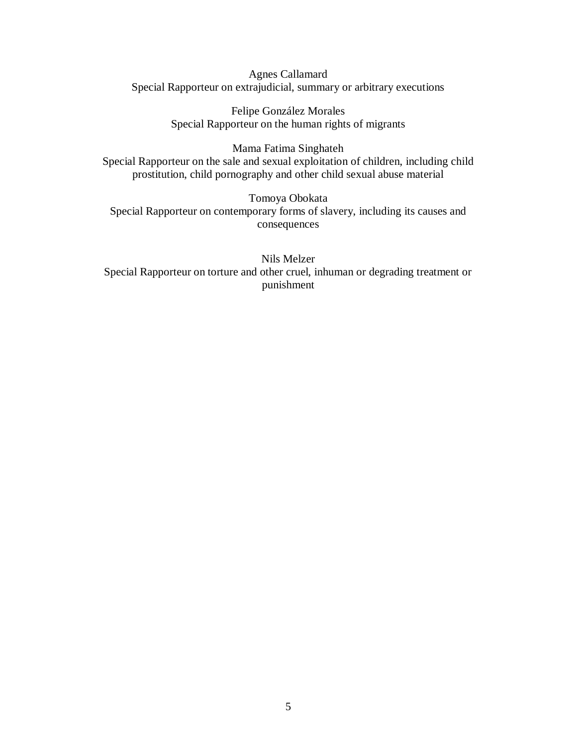Agnes Callamard Special Rapporteur on extrajudicial, summary or arbitrary executions

> Felipe González Morales Special Rapporteur on the human rights of migrants

Mama Fatima Singhateh Special Rapporteur on the sale and sexual exploitation of children, including child prostitution, child pornography and other child sexual abuse material

Tomoya Obokata Special Rapporteur on contemporary forms of slavery, including its causes and consequences

Nils Melzer Special Rapporteur on torture and other cruel, inhuman or degrading treatment or punishment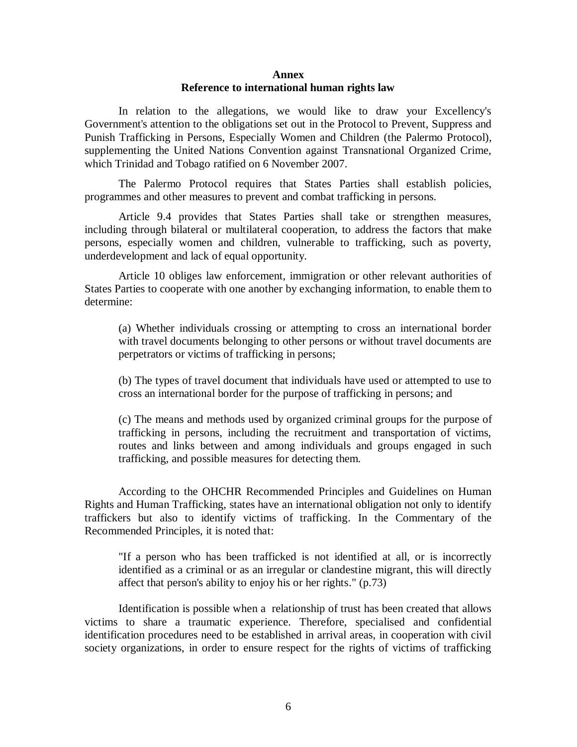## **Annex Reference to international human rights law**

In relation to the allegations, we would like to draw your Excellency's Government's attention to the obligations set out in the Protocol to Prevent, Suppress and Punish Trafficking in Persons, Especially Women and Children (the Palermo Protocol), supplementing the United Nations Convention against Transnational Organized Crime, which Trinidad and Tobago ratified on 6 November 2007.

The Palermo Protocol requires that States Parties shall establish policies, programmes and other measures to prevent and combat trafficking in persons.

Article 9.4 provides that States Parties shall take or strengthen measures, including through bilateral or multilateral cooperation, to address the factors that make persons, especially women and children, vulnerable to trafficking, such as poverty, underdevelopment and lack of equal opportunity.

Article 10 obliges law enforcement, immigration or other relevant authorities of States Parties to cooperate with one another by exchanging information, to enable them to determine:

(a) Whether individuals crossing or attempting to cross an international border with travel documents belonging to other persons or without travel documents are perpetrators or victims of trafficking in persons;

(b) The types of travel document that individuals have used or attempted to use to cross an international border for the purpose of trafficking in persons; and

(c) The means and methods used by organized criminal groups for the purpose of trafficking in persons, including the recruitment and transportation of victims, routes and links between and among individuals and groups engaged in such trafficking, and possible measures for detecting them.

According to the OHCHR Recommended Principles and Guidelines on Human Rights and Human Trafficking, states have an international obligation not only to identify traffickers but also to identify victims of trafficking. In the Commentary of the Recommended Principles, it is noted that:

"If a person who has been trafficked is not identified at all, or is incorrectly identified as a criminal or as an irregular or clandestine migrant, this will directly affect that person's ability to enjoy his or her rights." (p.73)

Identification is possible when a relationship of trust has been created that allows victims to share a traumatic experience. Therefore, specialised and confidential identification procedures need to be established in arrival areas, in cooperation with civil society organizations, in order to ensure respect for the rights of victims of trafficking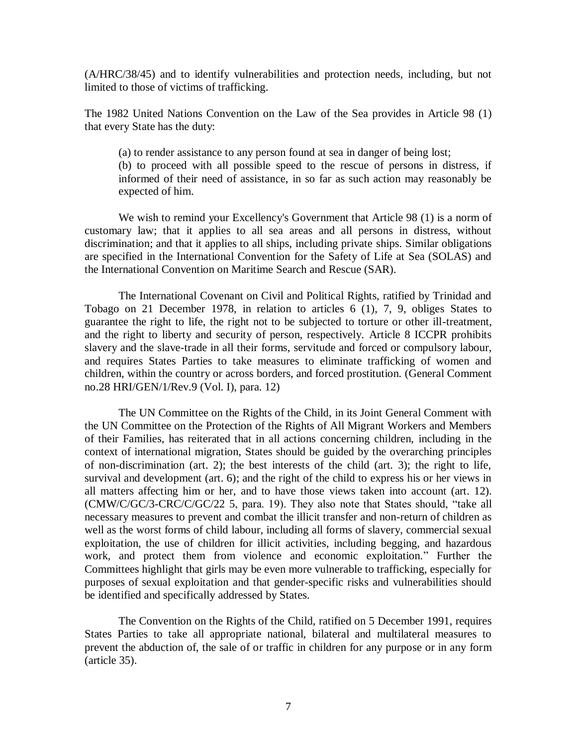(A/HRC/38/45) and to identify vulnerabilities and protection needs, including, but not limited to those of victims of trafficking.

The 1982 United Nations Convention on the Law of the Sea provides in Article 98 (1) that every State has the duty:

(a) to render assistance to any person found at sea in danger of being lost;

(b) to proceed with all possible speed to the rescue of persons in distress, if informed of their need of assistance, in so far as such action may reasonably be expected of him.

We wish to remind your Excellency's Government that Article 98 (1) is a norm of customary law; that it applies to all sea areas and all persons in distress, without discrimination; and that it applies to all ships, including private ships. Similar obligations are specified in the International Convention for the Safety of Life at Sea (SOLAS) and the International Convention on Maritime Search and Rescue (SAR).

The International Covenant on Civil and Political Rights, ratified by Trinidad and Tobago on 21 December 1978, in relation to articles 6 (1), 7, 9, obliges States to guarantee the right to life, the right not to be subjected to torture or other ill-treatment, and the right to liberty and security of person, respectively. Article 8 ICCPR prohibits slavery and the slave-trade in all their forms, servitude and forced or compulsory labour, and requires States Parties to take measures to eliminate trafficking of women and children, within the country or across borders, and forced prostitution. (General Comment no.28 HRI/GEN/1/Rev.9 (Vol. I), para. 12)

The UN Committee on the Rights of the Child, in its Joint General Comment with the UN Committee on the Protection of the Rights of All Migrant Workers and Members of their Families, has reiterated that in all actions concerning children, including in the context of international migration, States should be guided by the overarching principles of non-discrimination (art. 2); the best interests of the child (art. 3); the right to life, survival and development (art. 6); and the right of the child to express his or her views in all matters affecting him or her, and to have those views taken into account (art. 12). (CMW/C/GC/3-CRC/C/GC/22 5, para. 19). They also note that States should, "take all necessary measures to prevent and combat the illicit transfer and non-return of children as well as the worst forms of child labour, including all forms of slavery, commercial sexual exploitation, the use of children for illicit activities, including begging, and hazardous work, and protect them from violence and economic exploitation." Further the Committees highlight that girls may be even more vulnerable to trafficking, especially for purposes of sexual exploitation and that gender-specific risks and vulnerabilities should be identified and specifically addressed by States.

The Convention on the Rights of the Child, ratified on 5 December 1991, requires States Parties to take all appropriate national, bilateral and multilateral measures to prevent the abduction of, the sale of or traffic in children for any purpose or in any form (article 35).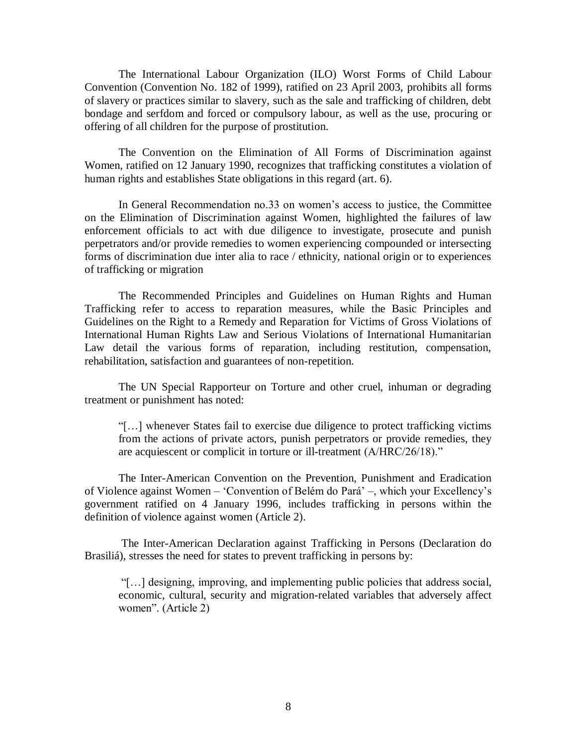The International Labour Organization (ILO) Worst Forms of Child Labour Convention (Convention No. 182 of 1999), ratified on 23 April 2003, prohibits all forms of slavery or practices similar to slavery, such as the sale and trafficking of children, debt bondage and serfdom and forced or compulsory labour, as well as the use, procuring or offering of all children for the purpose of prostitution.

The Convention on the Elimination of All Forms of Discrimination against Women, ratified on 12 January 1990, recognizes that trafficking constitutes a violation of human rights and establishes State obligations in this regard (art. 6).

In General Recommendation no.33 on women's access to justice, the Committee on the Elimination of Discrimination against Women, highlighted the failures of law enforcement officials to act with due diligence to investigate, prosecute and punish perpetrators and/or provide remedies to women experiencing compounded or intersecting forms of discrimination due inter alia to race / ethnicity, national origin or to experiences of trafficking or migration

The Recommended Principles and Guidelines on Human Rights and Human Trafficking refer to access to reparation measures, while the Basic Principles and Guidelines on the Right to a Remedy and Reparation for Victims of Gross Violations of International Human Rights Law and Serious Violations of International Humanitarian Law detail the various forms of reparation, including restitution, compensation, rehabilitation, satisfaction and guarantees of non-repetition.

The UN Special Rapporteur on Torture and other cruel, inhuman or degrading treatment or punishment has noted:

"[…] whenever States fail to exercise due diligence to protect trafficking victims from the actions of private actors, punish perpetrators or provide remedies, they are acquiescent or complicit in torture or ill-treatment (A/HRC/26/18)."

The Inter-American Convention on the Prevention, Punishment and Eradication of Violence against Women – 'Convention of Belém do Pará' –, which your Excellency's government ratified on 4 January 1996, includes trafficking in persons within the definition of violence against women (Article 2).

The Inter-American Declaration against Trafficking in Persons (Declaration do Brasiliá), stresses the need for states to prevent trafficking in persons by:

"[…] designing, improving, and implementing public policies that address social, economic, cultural, security and migration-related variables that adversely affect women". (Article 2)